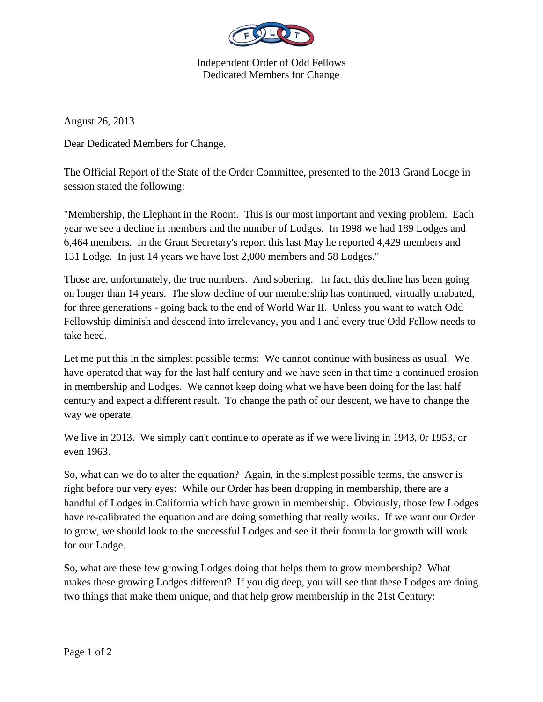

Independent Order of Odd Fellows Dedicated Members for Change

August 26, 2013

Dear Dedicated Members for Change,

The Official Report of the State of the Order Committee, presented to the 2013 Grand Lodge in session stated the following:

"Membership, the Elephant in the Room. This is our most important and vexing problem. Each year we see a decline in members and the number of Lodges. In 1998 we had 189 Lodges and 6,464 members. In the Grant Secretary's report this last May he reported 4,429 members and 131 Lodge. In just 14 years we have lost 2,000 members and 58 Lodges."

Those are, unfortunately, the true numbers. And sobering. In fact, this decline has been going on longer than 14 years. The slow decline of our membership has continued, virtually unabated, for three generations - going back to the end of World War II. Unless you want to watch Odd Fellowship diminish and descend into irrelevancy, you and I and every true Odd Fellow needs to take heed.

Let me put this in the simplest possible terms: We cannot continue with business as usual. We have operated that way for the last half century and we have seen in that time a continued erosion in membership and Lodges. We cannot keep doing what we have been doing for the last half century and expect a different result. To change the path of our descent, we have to change the way we operate.

We live in 2013. We simply can't continue to operate as if we were living in 1943, 0r 1953, or even 1963.

So, what can we do to alter the equation? Again, in the simplest possible terms, the answer is right before our very eyes: While our Order has been dropping in membership, there are a handful of Lodges in California which have grown in membership. Obviously, those few Lodges have re-calibrated the equation and are doing something that really works. If we want our Order to grow, we should look to the successful Lodges and see if their formula for growth will work for our Lodge.

So, what are these few growing Lodges doing that helps them to grow membership? What makes these growing Lodges different? If you dig deep, you will see that these Lodges are doing two things that make them unique, and that help grow membership in the 21st Century: